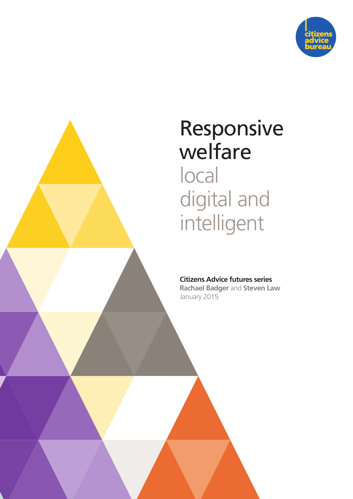

# Responsive welfare local digital and intelligent

#### **Citizens Advice futures series**

**Rachael Badger** and **Steven Law** January 2015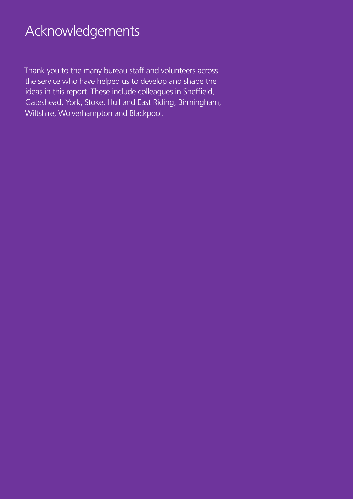# Acknowledgements

Thank you to the many bureau staff and volunteers across the service who have helped us to develop and shape the ideas in this report. These include colleagues in Sheffield, Gateshead, York, Stoke, Hull and East Riding, Birmingham, Wiltshire, Wolverhampton and Blackpool.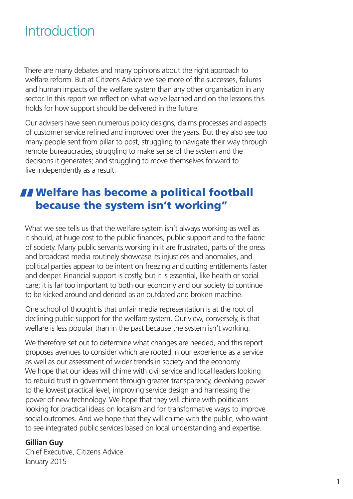# Introduction

There are many debates and many opinions about the right approach to welfare reform. But at Citizens Advice we see more of the successes, failures and human impacts of the welfare system than any other organisation in any sector. In this report we reflect on what we've learned and on the lessons this holds for how support should be delivered in the future.

Our advisers have seen numerous policy designs, claims processes and aspects of customer service refined and improved over the years. But they also see too many people sent from pillar to post, struggling to navigate their way through remote bureaucracies; struggling to make sense of the system and the decisions it generates; and struggling to move themselves forward to live independently as a result.

### **II** Welfare has become a political football because the system isn't working"

What we see tells us that the welfare system isn't always working as well as it should, at huge cost to the public finances, public support and to the fabric of society. Many public servants working in it are frustrated, parts of the press and broadcast media routinely showcase its injustices and anomalies, and political parties appear to be intent on freezing and cutting entitlements faster and deeper. Financial support is costly, but it is essential, like health or social care; it is far too important to both our economy and our society to continue to be kicked around and derided as an outdated and broken machine.

One school of thought is that unfair media representation is at the root of declining public support for the welfare system. Our view, conversely, is that welfare is less popular than in the past because the system isn't working.

We therefore set out to determine what changes are needed, and this report proposes avenues to consider which are rooted in our experience as a service as well as our assessment of wider trends in society and the economy. We hope that our ideas will chime with civil service and local leaders looking to rebuild trust in government through greater transparency, devolving power to the lowest practical level, improving service design and harnessing the power of new technology. We hope that they will chime with politicians looking for practical ideas on localism and for transformative ways to improve social outcomes. And we hope that they will chime with the public, who want to see integrated public services based on local understanding and expertise.

#### **Gillian Guy**

Chief Executive, Citizens Advice January 2015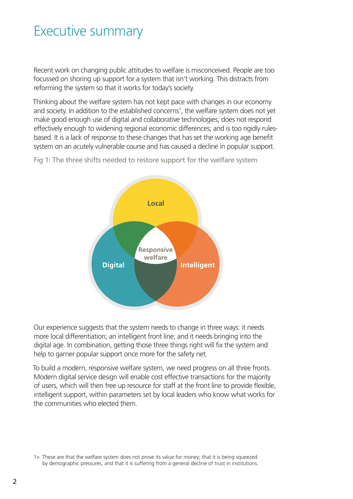### Executive summary

Recent work on changing public attitudes to welfare is misconceived. People are too focussed on shoring up support for a system that isn't working. This distracts from reforming the system so that it works for today's society.

Thinking about the welfare system has not kept pace with changes in our economy and society. In addition to the established concerns<sup>1</sup>, the welfare system does not yet make good enough use of digital and collaborative technologies; does not respond effectively enough to widening regional economic differences; and is too rigidly rulesbased. It is a lack of response to these changes that has set the working age benefit system on an acutely vulnerable course and has caused a decline in popular support.



Fig 1: The three shifts needed to restore support for the welfare system

Our experience suggests that the system needs to change in three ways: it needs more local differentiation; an intelligent front line; and it needs bringing into the digital age. In combination, getting those three things right will fix the system and help to garner popular support once more for the safety net.

To build a modern, responsive welfare system, we need progress on all three fronts. Modern digital service design will enable cost effective transactions for the majority of users, which will then free up resource for staff at the front line to provide flexible, intelligent support, within parameters set by local leaders who know what works for the communities who elected them.

<sup>1&</sup>gt; These are that the welfare system does not prove its value for money; that it is being squeezed by demographic pressures, and that it is suffering from a general decline of trust in institutions.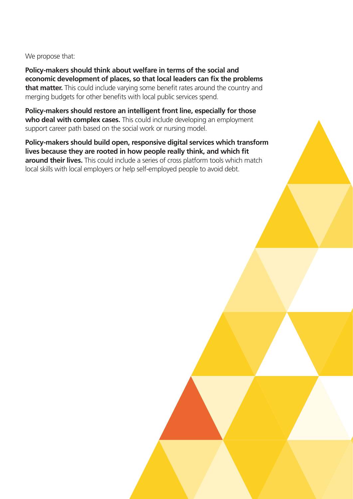We propose that:

**Policy-makers should think about welfare in terms of the social and economic development of places, so that local leaders can fix the problems that matter.** This could include varying some benefit rates around the country and merging budgets for other benefits with local public services spend.

**Policy-makers should restore an intelligent front line, especially for those**  who deal with complex cases. This could include developing an employment support career path based on the social work or nursing model.

**Policy-makers should build open, responsive digital services which transform lives because they are rooted in how people really think, and which fit around their lives.** This could include a series of cross platform tools which match local skills with local employers or help self-employed people to avoid debt.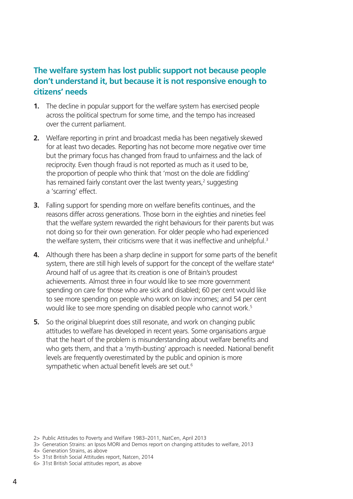#### **The welfare system has lost public support not because people don't understand it, but because it is not responsive enough to citizens' needs**

- **1.** The decline in popular support for the welfare system has exercised people across the political spectrum for some time, and the tempo has increased over the current parliament.
- **2.** Welfare reporting in print and broadcast media has been negatively skewed for at least two decades. Reporting has not become more negative over time but the primary focus has changed from fraud to unfairness and the lack of reciprocity. Even though fraud is not reported as much as it used to be, the proportion of people who think that 'most on the dole are fiddling' has remained fairly constant over the last twenty years,<sup>2</sup> suggesting a 'scarring' effect.
- **3.** Falling support for spending more on welfare benefits continues, and the reasons differ across generations. Those born in the eighties and nineties feel that the welfare system rewarded the right behaviours for their parents but was not doing so for their own generation. For older people who had experienced the welfare system, their criticisms were that it was ineffective and unhelpful.<sup>3</sup>
- **4.** Although there has been a sharp decline in support for some parts of the benefit system, there are still high levels of support for the concept of the welfare state<sup>4</sup> Around half of us agree that its creation is one of Britain's proudest achievements. Almost three in four would like to see more government spending on care for those who are sick and disabled; 60 per cent would like to see more spending on people who work on low incomes; and 54 per cent would like to see more spending on disabled people who cannot work.<sup>5</sup>
- **5.** So the original blueprint does still resonate, and work on changing public attitudes to welfare has developed in recent years. Some organisations argue that the heart of the problem is misunderstanding about welfare benefits and who gets them, and that a 'myth-busting' approach is needed. National benefit levels are frequently overestimated by the public and opinion is more sympathetic when actual benefit levels are set out.<sup>6</sup>

<sup>2&</sup>gt; Public Attitudes to Poverty and Welfare 1983–2011, NatCen, April 2013

<sup>3&</sup>gt; Generation Strains: an Ipsos MORI and Demos report on changing attitudes to welfare, 2013

<sup>4&</sup>gt; Generation Strains, as above

<sup>5&</sup>gt; 31st British Social Attitudes report, Natcen, 2014

<sup>6&</sup>gt; 31st British Social attitudes report, as above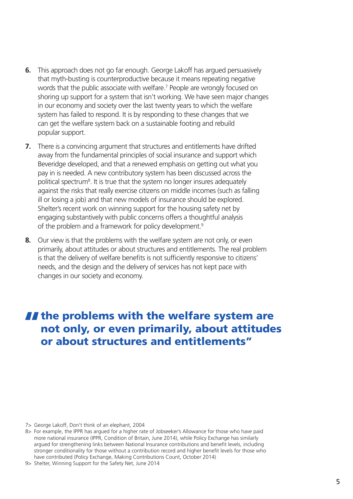- **6.** This approach does not go far enough. George Lakoff has argued persuasively that myth-busting is counterproductive because it means repeating negative words that the public associate with welfare.<sup>7</sup> People are wrongly focused on shoring up support for a system that isn't working. We have seen major changes in our economy and society over the last twenty years to which the welfare system has failed to respond. It is by responding to these changes that we can get the welfare system back on a sustainable footing and rebuild popular support.
- **7.** There is a convincing argument that structures and entitlements have drifted away from the fundamental principles of social insurance and support which Beveridge developed, and that a renewed emphasis on getting out what you pay in is needed. A new contributory system has been discussed across the political spectrum<sup>8</sup>. It is true that the system no longer insures adequately against the risks that really exercise citizens on middle incomes (such as falling ill or losing a job) and that new models of insurance should be explored. Shelter's recent work on winning support for the housing safety net by engaging substantively with public concerns offers a thoughtful analysis of the problem and a framework for policy development.<sup>9</sup>
- **8.** Our view is that the problems with the welfare system are not only, or even primarily, about attitudes or about structures and entitlements. The real problem is that the delivery of welfare benefits is not sufficiently responsive to citizens' needs, and the design and the delivery of services has not kept pace with changes in our society and economy.

### $\blacksquare$  the problems with the welfare system are not only, or even primarily, about attitudes or about structures and entitlements"

- 7> George Lakoff, Don't think of an elephant, 2004
- 8> For example, the IPPR has argued for a higher rate of Jobseeker's Allowance for those who have paid more national insurance (IPPR, Condition of Britain, June 2014), while Policy Exchange has similarly argued for strengthening links between National Insurance contributions and benefit levels, including stronger conditionality for those without a contribution record and higher benefit levels for those who have contributed (Policy Exchange, Making Contributions Count, October 2014)
- 9> Shelter, Winning Support for the Safety Net, June 2014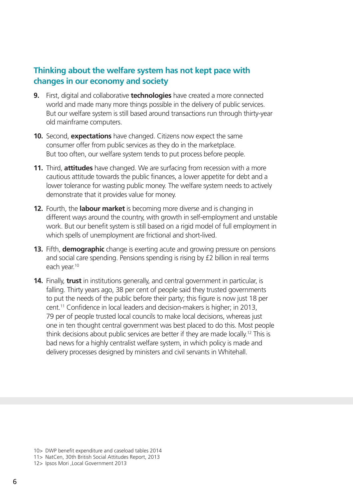#### **Thinking about the welfare system has not kept pace with changes in our economy and society**

- **9.** First, digital and collaborative **technologies** have created a more connected world and made many more things possible in the delivery of public services. But our welfare system is still based around transactions run through thirty-year old mainframe computers.
- **10.** Second, **expectations** have changed. Citizens now expect the same consumer offer from public services as they do in the marketplace. But too often, our welfare system tends to put process before people.
- **11.** Third, **attitudes** have changed. We are surfacing from recession with a more cautious attitude towards the public finances, a lower appetite for debt and a lower tolerance for wasting public money. The welfare system needs to actively demonstrate that it provides value for money.
- **12.** Fourth, the **labour market** is becoming more diverse and is changing in different ways around the country, with growth in self-employment and unstable work. But our benefit system is still based on a rigid model of full employment in which spells of unemployment are frictional and short-lived.
- **13.** Fifth, **demographic** change is exerting acute and growing pressure on pensions and social care spending. Pensions spending is rising by £2 billion in real terms each year.<sup>10</sup>
- **14.** Finally, **trust** in institutions generally, and central government in particular, is falling. Thirty years ago, 38 per cent of people said they trusted governments to put the needs of the public before their party; this figure is now just 18 per cent.11 Confidence in local leaders and decision-makers is higher; in 2013, 79 per of people trusted local councils to make local decisions, whereas just one in ten thought central government was best placed to do this. Most people think decisions about public services are better if they are made locally.12 This is bad news for a highly centralist welfare system, in which policy is made and delivery processes designed by ministers and civil servants in Whitehall.

<sup>10&</sup>gt; DWP benefit expenditure and caseload tables 2014

<sup>11&</sup>gt; NatCen, 30th British Social Attitudes Report, 2013

<sup>12&</sup>gt; Ipsos Mori ,Local Government 2013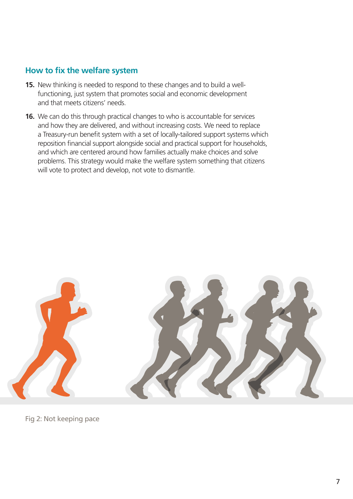#### **How to fix the welfare system**

- **15.** New thinking is needed to respond to these changes and to build a wellfunctioning, just system that promotes social and economic development and that meets citizens' needs.
- **16.** We can do this through practical changes to who is accountable for services and how they are delivered, and without increasing costs. We need to replace a Treasury-run benefit system with a set of locally-tailored support systems which reposition financial support alongside social and practical support for households, and which are centered around how families actually make choices and solve problems. This strategy would make the welfare system something that citizens will vote to protect and develop, not vote to dismantle.



Fig 2: Not keeping pace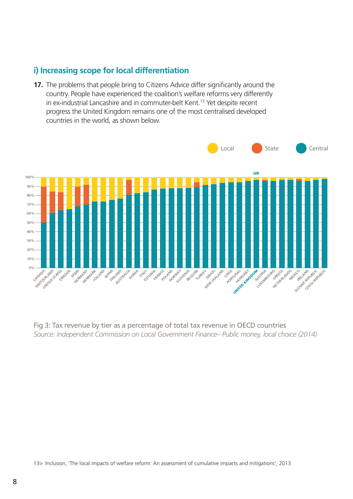#### **i) Increasing scope for local differentiation**

**17.** The problems that people bring to Citizens Advice differ significantly around the country. People have experienced the coalition's welfare reforms very differently in ex-industrial Lancashire and in commuter-belt Kent.<sup>13</sup> Yet despite recent progress the United Kingdom remains one of the most centralised developed countries in the world, as shown below.



Fig 3: Tax revenue by tier as a percentage of total tax revenue in OECD countries *Source: Independent Commission on Local Government Finance– Public money, local choice (2014)*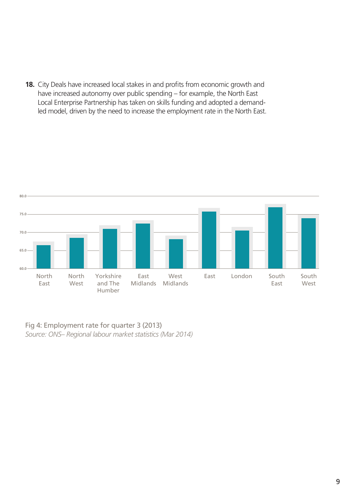**18.** City Deals have increased local stakes in and profits from economic growth and have increased autonomy over public spending – for example, the North East Local Enterprise Partnership has taken on skills funding and adopted a demandled model, driven by the need to increase the employment rate in the North East.



Fig 4: Employment rate for quarter 3 (2013) *Source: ONS– Regional labour market statistics (Mar 2014)*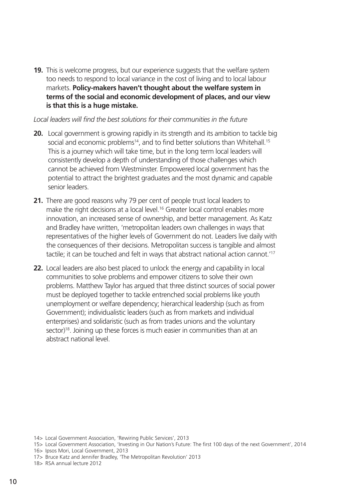**19.** This is welcome progress, but our experience suggests that the welfare system too needs to respond to local variance in the cost of living and to local labour markets. **Policy-makers haven't thought about the welfare system in terms of the social and economic development of places, and our view is that this is a huge mistake.**

#### *Local leaders will find the best solutions for their communities in the future*

- **20.** Local government is growing rapidly in its strength and its ambition to tackle big social and economic problems<sup>14</sup>, and to find better solutions than Whitehall.<sup>15</sup> This is a journey which will take time, but in the long term local leaders will consistently develop a depth of understanding of those challenges which cannot be achieved from Westminster. Empowered local government has the potential to attract the brightest graduates and the most dynamic and capable senior leaders.
- **21.** There are good reasons why 79 per cent of people trust local leaders to make the right decisions at a local level.<sup>16</sup> Greater local control enables more innovation, an increased sense of ownership, and better management. As Katz and Bradley have written, 'metropolitan leaders own challenges in ways that representatives of the higher levels of Government do not. Leaders live daily with the consequences of their decisions. Metropolitan success is tangible and almost tactile; it can be touched and felt in ways that abstract national action cannot.'<sup>17</sup>
- **22.** Local leaders are also best placed to unlock the energy and capability in local communities to solve problems and empower citizens to solve their own problems. Matthew Taylor has argued that three distinct sources of social power must be deployed together to tackle entrenched social problems like youth unemployment or welfare dependency; hierarchical leadership (such as from Government); individualistic leaders (such as from markets and individual enterprises) and solidaristic (such as from trades unions and the voluntary sector)<sup>18</sup>. Joining up these forces is much easier in communities than at an abstract national level.

- 15> Local Government Association, 'Investing in Our Nation's Future: The first 100 days of the next Government', 2014
- 16> Ipsos Mori, Local Government, 2013
- 17> Bruce Katz and Jennifer Bradley, 'The Metropolitan Revolution' 2013
- 18> RSA annual lecture 2012

<sup>14&</sup>gt; Local Government Association, 'Rewiring Public Services', 2013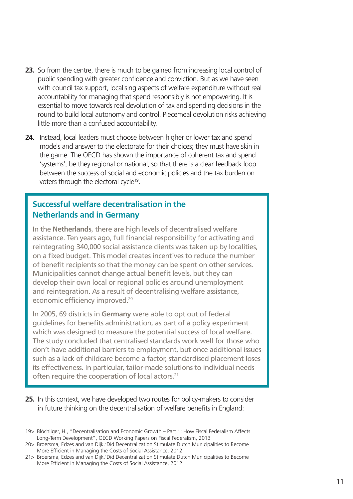- **23.** So from the centre, there is much to be gained from increasing local control of public spending with greater confidence and conviction. But as we have seen with council tax support, localising aspects of welfare expenditure without real accountability for managing that spend responsibly is not empowering. It is essential to move towards real devolution of tax and spending decisions in the round to build local autonomy and control. Piecemeal devolution risks achieving little more than a confused accountability.
- **24.** Instead, local leaders must choose between higher or lower tax and spend models and answer to the electorate for their choices; they must have skin in the game. The OECD has shown the importance of coherent tax and spend 'systems', be they regional or national, so that there is a clear feedback loop between the success of social and economic policies and the tax burden on voters through the electoral cycle<sup>19</sup>.

#### **Successful welfare decentralisation in the Netherlands and in Germany**

In the **Netherlands**, there are high levels of decentralised welfare assistance. Ten years ago, full financial responsibility for activating and reintegrating 340,000 social assistance clients was taken up by localities, on a fixed budget. This model creates incentives to reduce the number of benefit recipients so that the money can be spent on other services. Municipalities cannot change actual benefit levels, but they can develop their own local or regional policies around unemployment and reintegration. As a result of decentralising welfare assistance, economic efficiency improved.<sup>20</sup>

In 2005, 69 districts in **Germany** were able to opt out of federal guidelines for benefits administration, as part of a policy experiment which was designed to measure the potential success of local welfare. The study concluded that centralised standards work well for those who don't have additional barriers to employment, but once additional issues such as a lack of childcare become a factor, standardised placement loses its effectiveness. In particular, tailor-made solutions to individual needs often require the cooperation of local actors.<sup>21</sup>

- **25.** In this context, we have developed two routes for policy-makers to consider in future thinking on the decentralisation of welfare benefits in England:
- 19> Blöchliger, H., "Decentralisation and Economic Growth Part 1: How Fiscal Federalism Affects Long-Term Development", OECD Working Papers on Fiscal Federalism, 2013
- 20> Broersma, Edzes and van Dijk.'Did Decentralization Stimulate Dutch Municipalities to Become More Efficient in Managing the Costs of Social Assistance, 2012
- 21> Broersma, Edzes and van Dijk.'Did Decentralization Stimulate Dutch Municipalities to Become More Efficient in Managing the Costs of Social Assistance, 2012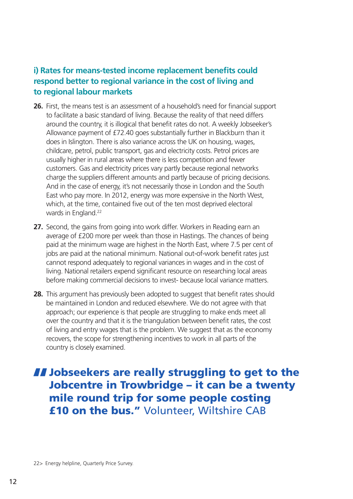#### **i) Rates for means-tested income replacement benefits could respond better to regional variance in the cost of living and to regional labour markets**

- **26.** First, the means test is an assessment of a household's need for financial support to facilitate a basic standard of living. Because the reality of that need differs around the country, it is illogical that benefit rates do not. A weekly Jobseeker's Allowance payment of £72.40 goes substantially further in Blackburn than it does in Islington. There is also variance across the UK on housing, wages, childcare, petrol, public transport, gas and electricity costs. Petrol prices are usually higher in rural areas where there is less competition and fewer customers. Gas and electricity prices vary partly because regional networks charge the suppliers different amounts and partly because of pricing decisions. And in the case of energy, it's not necessarily those in London and the South East who pay more. In 2012, energy was more expensive in the North West, which, at the time, contained five out of the ten most deprived electoral wards in England.<sup>22</sup>
- **27.** Second, the gains from going into work differ. Workers in Reading earn an average of £200 more per week than those in Hastings. The chances of being paid at the minimum wage are highest in the North East, where 7.5 per cent of jobs are paid at the national minimum. National out-of-work benefit rates just cannot respond adequately to regional variances in wages and in the cost of living. National retailers expend significant resource on researching local areas before making commercial decisions to invest- because local variance matters.
- **28.** This argument has previously been adopted to suggest that benefit rates should be maintained in London and reduced elsewhere. We do not agree with that approach; our experience is that people are struggling to make ends meet all over the country and that it is the triangulation between benefit rates, the cost of living and entry wages that is the problem. We suggest that as the economy recovers, the scope for strengthening incentives to work in all parts of the country is closely examined.

# **II Jobseekers are really struggling to get to the Jobcentre in Trowbridge - it can be a twenty** mile round trip for some people costing £10 on the bus." Volunteer, Wiltshire CAB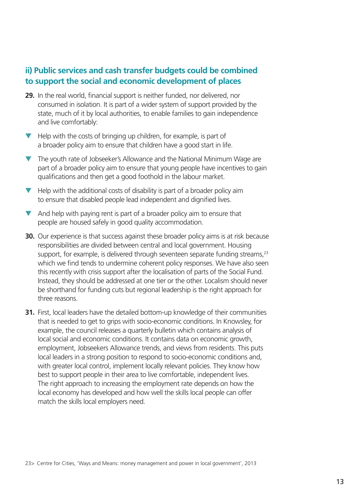#### **ii) Public services and cash transfer budgets could be combined to support the social and economic development of places**

- **29.** In the real world, financial support is neither funded, nor delivered, nor consumed in isolation. It is part of a wider system of support provided by the state, much of it by local authorities, to enable families to gain independence and live comfortably:
- Help with the costs of bringing up children, for example, is part of a broader policy aim to ensure that children have a good start in life.
- The youth rate of Jobseeker's Allowance and the National Minimum Wage are part of a broader policy aim to ensure that young people have incentives to gain qualifications and then get a good foothold in the labour market.
- Help with the additional costs of disability is part of a broader policy aim to ensure that disabled people lead independent and dignified lives.
- And help with paying rent is part of a broader policy aim to ensure that people are housed safely in good quality accommodation.
- **30.** Our experience is that success against these broader policy aims is at risk because responsibilities are divided between central and local government. Housing support, for example, is delivered through seventeen separate funding streams, $23$ which we find tends to undermine coherent policy responses. We have also seen this recently with crisis support after the localisation of parts of the Social Fund. Instead, they should be addressed at one tier or the other. Localism should never be shorthand for funding cuts but regional leadership is the right approach for three reasons.
- **31.** First, local leaders have the detailed bottom-up knowledge of their communities that is needed to get to grips with socio-economic conditions. In Knowsley, for example, the council releases a quarterly bulletin which contains analysis of local social and economic conditions. It contains data on economic growth, employment, Jobseekers Allowance trends, and views from residents. This puts local leaders in a strong position to respond to socio-economic conditions and, with greater local control, implement locally relevant policies. They know how best to support people in their area to live comfortable, independent lives. The right approach to increasing the employment rate depends on how the local economy has developed and how well the skills local people can offer match the skills local employers need.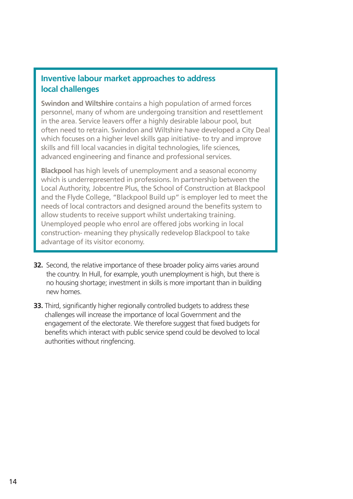#### **Inventive labour market approaches to address local challenges**

**Swindon and Wiltshire** contains a high population of armed forces personnel, many of whom are undergoing transition and resettlement in the area. Service leavers offer a highly desirable labour pool, but often need to retrain. Swindon and Wiltshire have developed a City Deal which focuses on a higher level skills gap initiative- to try and improve skills and fill local vacancies in digital technologies, life sciences, advanced engineering and finance and professional services.

**Blackpool** has high levels of unemployment and a seasonal economy which is underrepresented in professions. In partnership between the Local Authority, Jobcentre Plus, the School of Construction at Blackpool and the Flyde College, "Blackpool Build up" is employer led to meet the needs of local contractors and designed around the benefits system to allow students to receive support whilst undertaking training. Unemployed people who enrol are offered jobs working in local construction- meaning they physically redevelop Blackpool to take advantage of its visitor economy.

- **32.** Second, the relative importance of these broader policy aims varies around the country. In Hull, for example, youth unemployment is high, but there is no housing shortage; investment in skills is more important than in building new homes.
- **33.** Third, significantly higher regionally controlled budgets to address these challenges will increase the importance of local Government and the engagement of the electorate. We therefore suggest that fixed budgets for benefits which interact with public service spend could be devolved to local authorities without ringfencing.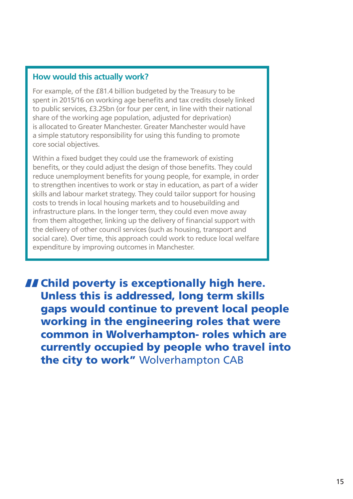#### **How would this actually work?**

For example, of the £81.4 billion budgeted by the Treasury to be spent in 2015/16 on working age benefits and tax credits closely linked to public services, £3.25bn (or four per cent, in line with their national share of the working age population, adjusted for deprivation) is allocated to Greater Manchester. Greater Manchester would have a simple statutory responsibility for using this funding to promote core social objectives.

Within a fixed budget they could use the framework of existing benefits, or they could adjust the design of those benefits. They could reduce unemployment benefits for young people, for example, in order to strengthen incentives to work or stay in education, as part of a wider skills and labour market strategy. They could tailor support for housing costs to trends in local housing markets and to housebuilding and infrastructure plans. In the longer term, they could even move away from them altogether, linking up the delivery of financial support with the delivery of other council services (such as housing, transport and social care). Over time, this approach could work to reduce local welfare expenditure by improving outcomes in Manchester.

II Child poverty is exceptionally high here.<br>Unless this is addressed, long term skills gaps would continue to prevent local people working in the engineering roles that were common in Wolverhampton- roles which are currently occupied by people who travel into the city to work" Wolverhampton CAB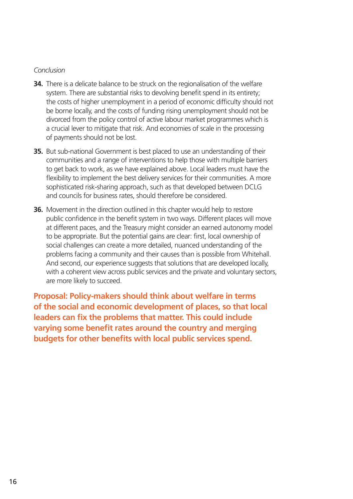#### *Conclusion*

- **34.** There is a delicate balance to be struck on the regionalisation of the welfare system. There are substantial risks to devolving benefit spend in its entirety; the costs of higher unemployment in a period of economic difficulty should not be borne locally, and the costs of funding rising unemployment should not be divorced from the policy control of active labour market programmes which is a crucial lever to mitigate that risk. And economies of scale in the processing of payments should not be lost.
- **35.** But sub-national Government is best placed to use an understanding of their communities and a range of interventions to help those with multiple barriers to get back to work, as we have explained above. Local leaders must have the flexibility to implement the best delivery services for their communities. A more sophisticated risk-sharing approach, such as that developed between DCLG and councils for business rates, should therefore be considered.
- **36.** Movement in the direction outlined in this chapter would help to restore public confidence in the benefit system in two ways. Different places will move at different paces, and the Treasury might consider an earned autonomy model to be appropriate. But the potential gains are clear: first, local ownership of social challenges can create a more detailed, nuanced understanding of the problems facing a community and their causes than is possible from Whitehall. And second, our experience suggests that solutions that are developed locally. with a coherent view across public services and the private and voluntary sectors, are more likely to succeed.

**Proposal: Policy-makers should think about welfare in terms of the social and economic development of places, so that local leaders can fix the problems that matter. This could include varying some benefit rates around the country and merging budgets for other benefits with local public services spend.**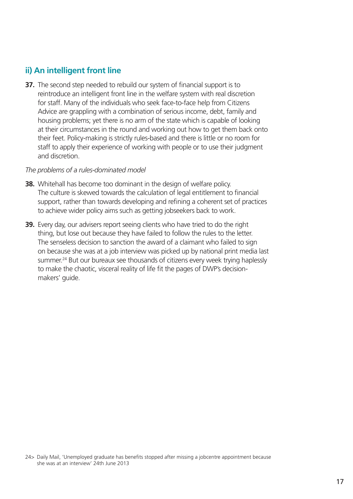#### **ii) An intelligent front line**

**37.** The second step needed to rebuild our system of financial support is to reintroduce an intelligent front line in the welfare system with real discretion for staff. Many of the individuals who seek face-to-face help from Citizens Advice are grappling with a combination of serious income, debt, family and housing problems; yet there is no arm of the state which is capable of looking at their circumstances in the round and working out how to get them back onto their feet. Policy-making is strictly rules-based and there is little or no room for staff to apply their experience of working with people or to use their judgment and discretion.

#### *The problems of a rules-dominated model*

- **38.** Whitehall has become too dominant in the design of welfare policy. The culture is skewed towards the calculation of legal entitlement to financial support, rather than towards developing and refining a coherent set of practices to achieve wider policy aims such as getting jobseekers back to work.
- **39.** Every day, our advisers report seeing clients who have tried to do the right thing, but lose out because they have failed to follow the rules to the letter. The senseless decision to sanction the award of a claimant who failed to sign on because she was at a job interview was picked up by national print media last summer.<sup>24</sup> But our bureaux see thousands of citizens every week trying haplessly to make the chaotic, visceral reality of life fit the pages of DWP's decisionmakers' guide.

<sup>24&</sup>gt; Daily Mail, 'Unemployed graduate has benefits stopped after missing a jobcentre appointment because she was at an interview' 24th June 2013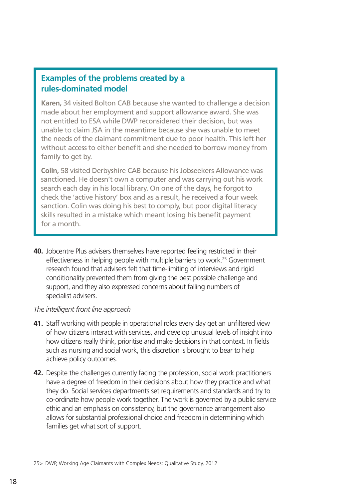#### **Examples of the problems created by a rules-dominated model**

**Karen,** 34 visited Bolton CAB because she wanted to challenge a decision made about her employment and support allowance award. She was not entitled to ESA while DWP reconsidered their decision, but was unable to claim JSA in the meantime because she was unable to meet the needs of the claimant commitment due to poor health. This left her without access to either benefit and she needed to borrow money from family to get by.

**Colin,** 58 visited Derbyshire CAB because his Jobseekers Allowance was sanctioned. He doesn't own a computer and was carrying out his work search each day in his local library. On one of the days, he forgot to check the 'active history' box and as a result, he received a four week sanction. Colin was doing his best to comply, but poor digital literacy skills resulted in a mistake which meant losing his benefit payment for a month.

**40.** Jobcentre Plus advisers themselves have reported feeling restricted in their effectiveness in helping people with multiple barriers to work.<sup>25</sup> Government research found that advisers felt that time-limiting of interviews and rigid conditionality prevented them from giving the best possible challenge and support, and they also expressed concerns about falling numbers of specialist advisers.

#### *The intelligent front line approach*

- **41.** Staff working with people in operational roles every day get an unfiltered view of how citizens interact with services, and develop unusual levels of insight into how citizens really think, prioritise and make decisions in that context. In fields such as nursing and social work, this discretion is brought to bear to help achieve policy outcomes.
- **42.** Despite the challenges currently facing the profession, social work practitioners have a degree of freedom in their decisions about how they practice and what they do. Social services departments set requirements and standards and try to co-ordinate how people work together. The work is governed by a public service ethic and an emphasis on consistency, but the governance arrangement also allows for substantial professional choice and freedom in determining which families get what sort of support.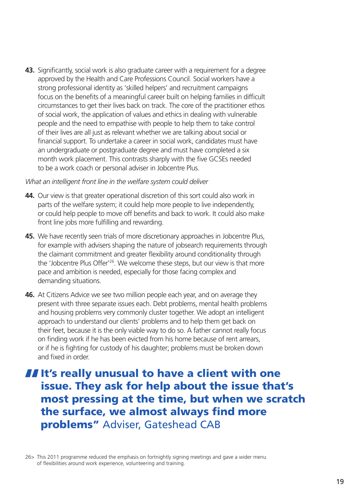**43.** Significantly, social work is also graduate career with a requirement for a degree approved by the Health and Care Professions Council. Social workers have a strong professional identity as 'skilled helpers' and recruitment campaigns focus on the benefits of a meaningful career built on helping families in difficult circumstances to get their lives back on track. The core of the practitioner ethos of social work, the application of values and ethics in dealing with vulnerable people and the need to empathise with people to help them to take control of their lives are all just as relevant whether we are talking about social or financial support. To undertake a career in social work, candidates must have an undergraduate or postgraduate degree and must have completed a six month work placement. This contrasts sharply with the five GCSEs needed to be a work coach or personal adviser in Jobcentre Plus.

#### *What an intelligent front line in the welfare system could deliver*

- **44.** Our view is that greater operational discretion of this sort could also work in parts of the welfare system; it could help more people to live independently, or could help people to move off benefits and back to work. It could also make front line jobs more fulfilling and rewarding.
- **45.** We have recently seen trials of more discretionary approaches in Jobcentre Plus, for example with advisers shaping the nature of jobsearch requirements through the claimant commitment and greater flexibility around conditionality through the 'Jobcentre Plus Offer'26. We welcome these steps, but our view is that more pace and ambition is needed, especially for those facing complex and demanding situations.
- **46.** At Citizens Advice we see two million people each year, and on average they present with three separate issues each. Debt problems, mental health problems and housing problems very commonly cluster together. We adopt an intelligent approach to understand our clients' problems and to help them get back on their feet, because it is the only viable way to do so. A father cannot really focus on finding work if he has been evicted from his home because of rent arrears, or if he is fighting for custody of his daughter; problems must be broken down and fixed in order.

### If's really unusual to have a client with one<br>issue. They ask for help about the issue that's most pressing at the time, but when we scratch the surface, we almost always find more problems" Adviser, Gateshead CAB

<sup>26&</sup>gt; This 2011 programme reduced the emphasis on fortnightly signing meetings and gave a wider menu of flexibilities around work experience, volunteering and training.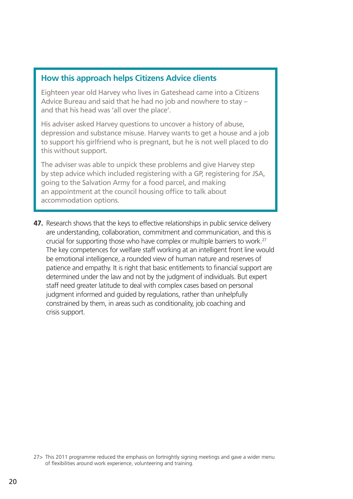#### **How this approach helps Citizens Advice clients**

Eighteen year old Harvey who lives in Gateshead came into a Citizens Advice Bureau and said that he had no job and nowhere to stay – and that his head was 'all over the place'.

His adviser asked Harvey questions to uncover a history of abuse, depression and substance misuse. Harvey wants to get a house and a job to support his girlfriend who is pregnant, but he is not well placed to do this without support.

The adviser was able to unpick these problems and give Harvey step by step advice which included registering with a GP, registering for JSA, going to the Salvation Army for a food parcel, and making an appointment at the council housing office to talk about accommodation options.

**47.** Research shows that the keys to effective relationships in public service delivery are understanding, collaboration, commitment and communication, and this is crucial for supporting those who have complex or multiple barriers to work.27 The key competences for welfare staff working at an intelligent front line would be emotional intelligence, a rounded view of human nature and reserves of patience and empathy. It is right that basic entitlements to financial support are determined under the law and not by the judgment of individuals. But expert staff need greater latitude to deal with complex cases based on personal judgment informed and guided by regulations, rather than unhelpfully constrained by them, in areas such as conditionality, job coaching and crisis support.

<sup>27&</sup>gt; This 2011 programme reduced the emphasis on fortnightly signing meetings and gave a wider menu of flexibilities around work experience, volunteering and training.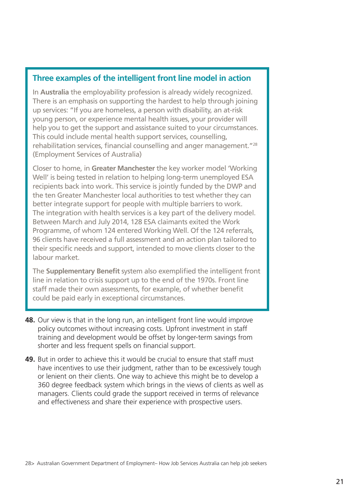#### **Three examples of the intelligent front line model in action**

In **Australia** the employability profession is already widely recognized. There is an emphasis on supporting the hardest to help through joining up services: "If you are homeless, a person with disability, an at-risk young person, or experience mental health issues, your provider will help you to get the support and assistance suited to your circumstances. This could include mental health support services, counselling, rehabilitation services, financial counselling and anger management."<sup>28</sup> (Employment Services of Australia)

Closer to home, in **Greater Manchester** the key worker model 'Working Well' is being tested in relation to helping long-term unemployed ESA recipients back into work. This service is jointly funded by the DWP and the ten Greater Manchester local authorities to test whether they can better integrate support for people with multiple barriers to work. The integration with health services is a key part of the delivery model. Between March and July 2014, 128 ESA claimants exited the Work Programme, of whom 124 entered Working Well. Of the 124 referrals, 96 clients have received a full assessment and an action plan tailored to their specific needs and support, intended to move clients closer to the labour market.

The **Supplementary Benefit** system also exemplified the intelligent front line in relation to crisis support up to the end of the 1970s. Front line staff made their own assessments, for example, of whether benefit could be paid early in exceptional circumstances.

- **48.** Our view is that in the long run, an intelligent front line would improve policy outcomes without increasing costs. Upfront investment in staff training and development would be offset by longer-term savings from shorter and less frequent spells on financial support.
- **49.** But in order to achieve this it would be crucial to ensure that staff must have incentives to use their judgment, rather than to be excessively tough or lenient on their clients. One way to achieve this might be to develop a 360 degree feedback system which brings in the views of clients as well as managers. Clients could grade the support received in terms of relevance and effectiveness and share their experience with prospective users.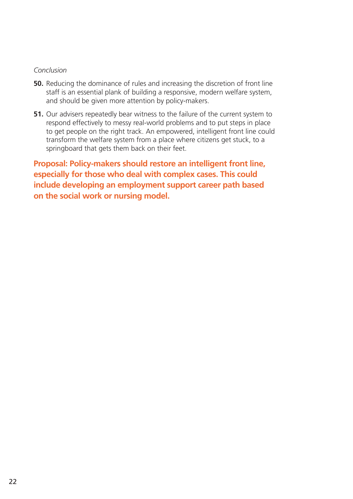#### *Conclusion*

- **50.** Reducing the dominance of rules and increasing the discretion of front line staff is an essential plank of building a responsive, modern welfare system, and should be given more attention by policy-makers.
- **51.** Our advisers repeatedly bear witness to the failure of the current system to respond effectively to messy real-world problems and to put steps in place to get people on the right track. An empowered, intelligent front line could transform the welfare system from a place where citizens get stuck, to a springboard that gets them back on their feet.

**Proposal: Policy-makers should restore an intelligent front line, especially for those who deal with complex cases. This could include developing an employment support career path based on the social work or nursing model.**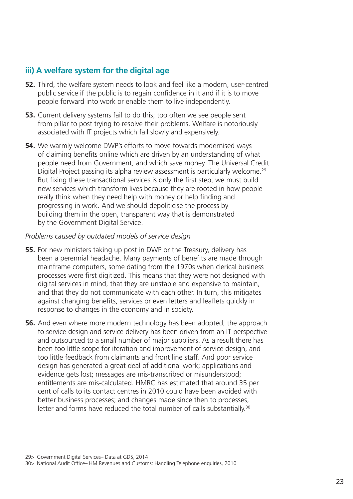#### **iii) A welfare system for the digital age**

- **52.** Third, the welfare system needs to look and feel like a modern, user-centred public service if the public is to regain confidence in it and if it is to move people forward into work or enable them to live independently.
- **53.** Current delivery systems fail to do this; too often we see people sent from pillar to post trying to resolve their problems. Welfare is notoriously associated with IT projects which fail slowly and expensively.
- **54.** We warmly welcome DWP's efforts to move towards modernised ways of claiming benefits online which are driven by an understanding of what people need from Government, and which save money. The Universal Credit Digital Project passing its alpha review assessment is particularly welcome.<sup>29</sup> But fixing these transactional services is only the first step; we must build new services which transform lives because they are rooted in how people really think when they need help with money or help finding and progressing in work. And we should depoliticise the process by building them in the open, transparent way that is demonstrated by the Government Digital Service.

#### *Problems caused by outdated models of service design*

- **55.** For new ministers taking up post in DWP or the Treasury, delivery has been a perennial headache. Many payments of benefits are made through mainframe computers, some dating from the 1970s when clerical business processes were first digitized. This means that they were not designed with digital services in mind, that they are unstable and expensive to maintain, and that they do not communicate with each other. In turn, this mitigates against changing benefits, services or even letters and leaflets quickly in response to changes in the economy and in society.
- **56.** And even where more modern technology has been adopted, the approach to service design and service delivery has been driven from an IT perspective and outsourced to a small number of major suppliers. As a result there has been too little scope for iteration and improvement of service design, and too little feedback from claimants and front line staff. And poor service design has generated a great deal of additional work; applications and evidence gets lost; messages are mis-transcribed or misunderstood; entitlements are mis-calculated. HMRC has estimated that around 35 per cent of calls to its contact centres in 2010 could have been avoided with better business processes; and changes made since then to processes, letter and forms have reduced the total number of calls substantially.<sup>30</sup>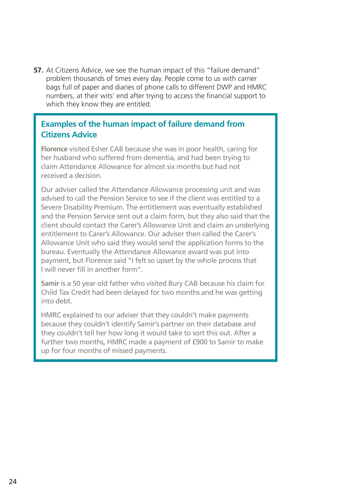**57.** At Citizens Advice, we see the human impact of this "failure demand" problem thousands of times every day. People come to us with carrier bags full of paper and diaries of phone calls to different DWP and HMRC numbers, at their wits' end after trying to access the financial support to which they know they are entitled.

#### **Examples of the human impact of failure demand from Citizens Advice**

**Florence** visited Esher CAB because she was in poor health, caring for her husband who suffered from dementia, and had been trying to claim Attendance Allowance for almost six months but had not received a decision.

Our adviser called the Attendance Allowance processing unit and was advised to call the Pension Service to see if the client was entitled to a Severe Disability Premium. The entitlement was eventually established and the Pension Service sent out a claim form, but they also said that the client should contact the Carer's Allowance Unit and claim an underlying entitlement to Carer's Allowance. Our adviser then called the Carer's Allowance Unit who said they would send the application forms to the bureau. Eventually the Attendance Allowance award was put into payment, but Florence said "I felt so upset by the whole process that I will never fill in another form".

**Samir** is a 50 year old father who visited Bury CAB because his claim for Child Tax Credit had been delayed for two months and he was getting into debt.

HMRC explained to our adviser that they couldn't make payments because they couldn't identify Samir's partner on their database and they couldn't tell her how long it would take to sort this out. After a further two months, HMRC made a payment of £900 to Samir to make up for four months of missed payments.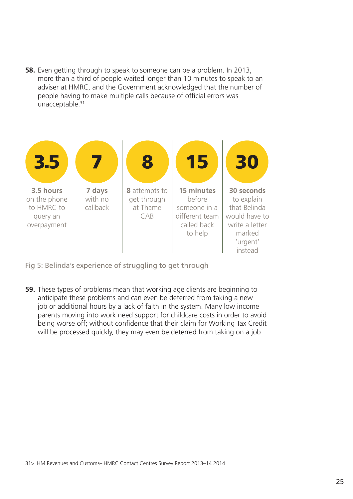**58.** Even getting through to speak to someone can be a problem. In 2013, more than a third of people waited longer than 10 minutes to speak to an adviser at HMRC, and the Government acknowledged that the number of people having to make multiple calls because of official errors was unacceptable.<sup>31</sup>



Fig 5: Belinda's experience of struggling to get through

**59.** These types of problems mean that working age clients are beginning to anticipate these problems and can even be deterred from taking a new job or additional hours by a lack of faith in the system. Many low income parents moving into work need support for childcare costs in order to avoid being worse off; without confidence that their claim for Working Tax Credit will be processed quickly, they may even be deterred from taking on a job.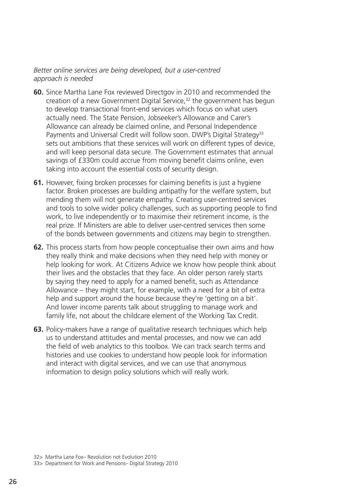#### *Better online services are being developed, but a user-centred approach is needed*

- **60.** Since Martha Lane Fox reviewed Directgov in 2010 and recommended the creation of a new Government Digital Service,<sup>32</sup> the government has begun to develop transactional front-end services which focus on what users actually need. The State Pension, Jobseeker's Allowance and Carer's Allowance can already be claimed online, and Personal Independence Payments and Universal Credit will follow soon. DWP's Digital Strategy<sup>33</sup> sets out ambitions that these services will work on different types of device, and will keep personal data secure. The Government estimates that annual savings of £330m could accrue from moving benefit claims online, even taking into account the essential costs of security design.
- **61.** However, fixing broken processes for claiming benefits is just a hygiene factor. Broken processes are building antipathy for the welfare system, but mending them will not generate empathy. Creating user-centred services and tools to solve wider policy challenges, such as supporting people to find work, to live independently or to maximise their retirement income, is the real prize. If Ministers are able to deliver user-centred services then some of the bonds between governments and citizens may begin to strengthen.
- **62.** This process starts from how people conceptualise their own aims and how they really think and make decisions when they need help with money or help looking for work. At Citizens Advice we know how people think about their lives and the obstacles that they face. An older person rarely starts by saying they need to apply for a named benefit, such as Attendance Allowance – they might start, for example, with a need for a bit of extra help and support around the house because they're 'getting on a bit'. And lower income parents talk about struggling to manage work and family life, not about the childcare element of the Working Tax Credit.
- **63.** Policy-makers have a range of qualitative research techniques which help us to understand attitudes and mental processes, and now we can add the field of web analytics to this toolbox. We can track search terms and histories and use cookies to understand how people look for information and interact with digital services, and we can use that anonymous information to design policy solutions which will really work.

<sup>32&</sup>gt; Martha Lane Fox– Revolution not Evolution 2010

<sup>33&</sup>gt; Department for Work and Pensions– Digital Strategy 2010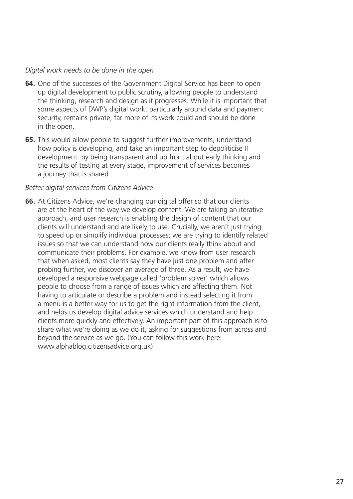#### *Digital work needs to be done in the open*

- **64.** One of the successes of the Government Digital Service has been to open up digital development to public scrutiny, allowing people to understand the thinking, research and design as it progresses. While it is important that some aspects of DWP's digital work, particularly around data and payment security, remains private, far more of its work could and should be done in the open.
- **65.** This would allow people to suggest further improvements, understand how policy is developing, and take an important step to depoliticise IT development: by being transparent and up front about early thinking and the results of testing at every stage, improvement of services becomes a journey that is shared.

#### *Better digital services from Citizens Advice*

**66.** At Citizens Advice, we're changing our digital offer so that our clients are at the heart of the way we develop content. We are taking an iterative approach, and user research is enabling the design of content that our clients will understand and are likely to use. Crucially, we aren't just trying to speed up or simplify individual processes; we are trying to identify related issues so that we can understand how our clients really think about and communicate their problems. For example, we know from user research that when asked, most clients say they have just one problem and after probing further, we discover an average of three. As a result, we have developed a responsive webpage called 'problem solver' which allows people to choose from a range of issues which are affecting them. Not having to articulate or describe a problem and instead selecting it from a menu is a better way for us to get the right information from the client, and helps us develop digital advice services which understand and help clients more quickly and effectively. An important part of this approach is to share what we're doing as we do it, asking for suggestions from across and beyond the service as we go. (You can follow this work here: www.alphablog.citizensadvice.org.uk)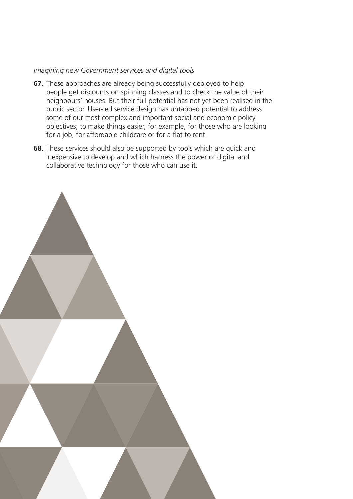#### *Imagining new Government services and digital tools*

- **67.** These approaches are already being successfully deployed to help people get discounts on spinning classes and to check the value of their neighbours' houses. But their full potential has not yet been realised in the public sector. User-led service design has untapped potential to address some of our most complex and important social and economic policy objectives; to make things easier, for example, for those who are looking for a job, for affordable childcare or for a flat to rent.
- **68.** These services should also be supported by tools which are quick and inexpensive to develop and which harness the power of digital and collaborative technology for those who can use it.

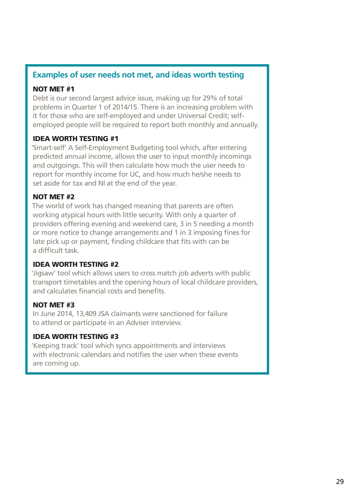#### **Examples of user needs not met, and ideas worth testing**

#### NOT MET #1

Debt is our second largest advice issue, making up for 29% of total problems in Quarter 1 of 2014/15. There is an increasing problem with it for those who are self-employed and under Universal Credit; selfemployed people will be required to report both monthly and annually.

#### IDEA WORTH TESTING #1

'Smart-self' A Self-Employment Budgeting tool which, after entering predicted annual income, allows the user to input monthly incomings and outgoings. This will then calculate how much the user needs to report for monthly income for UC, and how much he/she needs to set aside for tax and NI at the end of the year.

#### NOT MET #2

The world of work has changed meaning that parents are often working atypical hours with little security. With only a quarter of providers offering evening and weekend care, 3 in 5 needing a month or more notice to change arrangements and 1 in 3 imposing fines for late pick up or payment, finding childcare that fits with can be a difficult task.

#### IDEA WORTH TESTING #2

'Jigsaw' tool which allows users to cross match job adverts with public transport timetables and the opening hours of local childcare providers, and calculates financial costs and benefits.

#### NOT MET #3

In June 2014, 13,409 JSA claimants were sanctioned for failure to attend or participate in an Adviser interview.

#### IDEA WORTH TESTING #3

'Keeping track' tool which syncs appointments and interviews with electronic calendars and notifies the user when these events are coming up.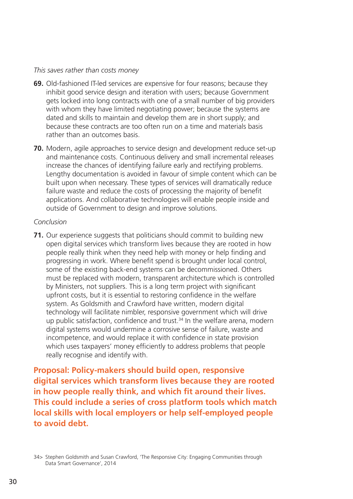#### *This saves rather than costs money*

- **69.** Old-fashioned IT-led services are expensive for four reasons; because they inhibit good service design and iteration with users; because Government gets locked into long contracts with one of a small number of big providers with whom they have limited negotiating power; because the systems are dated and skills to maintain and develop them are in short supply; and because these contracts are too often run on a time and materials basis rather than an outcomes basis.
- **70.** Modern, agile approaches to service design and development reduce set-up and maintenance costs. Continuous delivery and small incremental releases increase the chances of identifying failure early and rectifying problems. Lengthy documentation is avoided in favour of simple content which can be built upon when necessary. These types of services will dramatically reduce failure waste and reduce the costs of processing the majority of benefit applications. And collaborative technologies will enable people inside and outside of Government to design and improve solutions.

#### *Conclusion*

**71.** Our experience suggests that politicians should commit to building new open digital services which transform lives because they are rooted in how people really think when they need help with money or help finding and progressing in work. Where benefit spend is brought under local control, some of the existing back-end systems can be decommissioned. Others must be replaced with modern, transparent architecture which is controlled by Ministers, not suppliers. This is a long term project with significant upfront costs, but it is essential to restoring confidence in the welfare system. As Goldsmith and Crawford have written, modern digital technology will facilitate nimbler, responsive government which will drive up public satisfaction, confidence and trust.<sup>34</sup> In the welfare arena, modern digital systems would undermine a corrosive sense of failure, waste and incompetence, and would replace it with confidence in state provision which uses taxpayers' money efficiently to address problems that people really recognise and identify with.

**Proposal: Policy-makers should build open, responsive digital services which transform lives because they are rooted in how people really think, and which fit around their lives. This could include a series of cross platform tools which match local skills with local employers or help self-employed people to avoid debt.**

<sup>34&</sup>gt; Stephen Goldsmith and Susan Crawford, 'The Responsive City: Engaging Communities through Data Smart Governance', 2014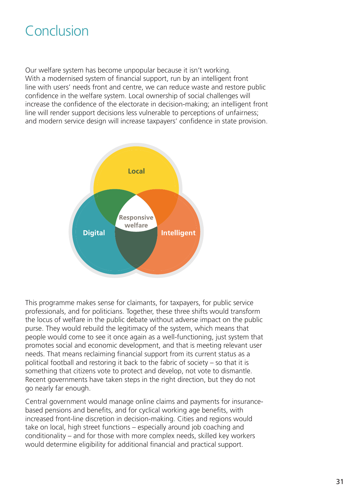# Conclusion

Our welfare system has become unpopular because it isn't working. With a modernised system of financial support, run by an intelligent front line with users' needs front and centre, we can reduce waste and restore public confidence in the welfare system. Local ownership of social challenges will increase the confidence of the electorate in decision-making; an intelligent front line will render support decisions less vulnerable to perceptions of unfairness; and modern service design will increase taxpayers' confidence in state provision.

![](_page_32_Figure_2.jpeg)

This programme makes sense for claimants, for taxpayers, for public service professionals, and for politicians. Together, these three shifts would transform the locus of welfare in the public debate without adverse impact on the public purse. They would rebuild the legitimacy of the system, which means that people would come to see it once again as a well-functioning, just system that promotes social and economic development, and that is meeting relevant user needs. That means reclaiming financial support from its current status as a political football and restoring it back to the fabric of society – so that it is something that citizens vote to protect and develop, not vote to dismantle. Recent governments have taken steps in the right direction, but they do not go nearly far enough.

Central government would manage online claims and payments for insurancebased pensions and benefits, and for cyclical working age benefits, with increased front-line discretion in decision-making. Cities and regions would take on local, high street functions – especially around job coaching and conditionality – and for those with more complex needs, skilled key workers would determine eligibility for additional financial and practical support.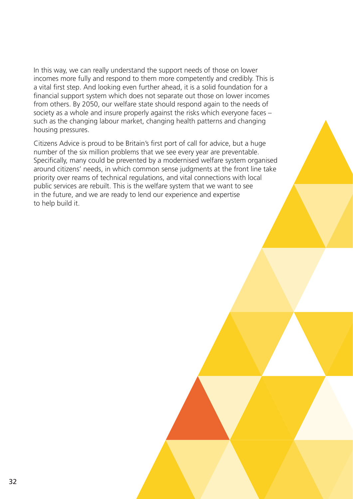In this way, we can really understand the support needs of those on lower incomes more fully and respond to them more competently and credibly. This is a vital first step. And looking even further ahead, it is a solid foundation for a financial support system which does not separate out those on lower incomes from others. By 2050, our welfare state should respond again to the needs of society as a whole and insure properly against the risks which everyone faces – such as the changing labour market, changing health patterns and changing housing pressures.

Citizens Advice is proud to be Britain's first port of call for advice, but a huge number of the six million problems that we see every year are preventable. Specifically, many could be prevented by a modernised welfare system organised around citizens' needs, in which common sense judgments at the front line take priority over reams of technical regulations, and vital connections with local public services are rebuilt. This is the welfare system that we want to see in the future, and we are ready to lend our experience and expertise to help build it.